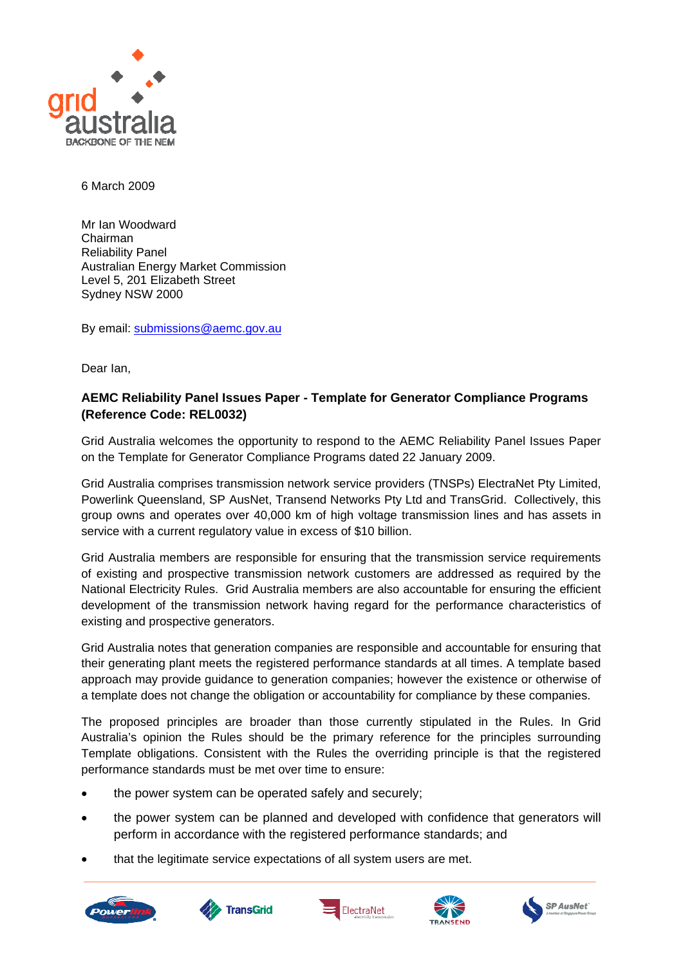

6 March 2009

Mr Ian Woodward Chairman Reliability Panel Australian Energy Market Commission Level 5, 201 Elizabeth Street Sydney NSW 2000

By email: [submissions@aemc.gov.au](mailto:submissions@aemc.gov.au)

Dear Ian,

## **AEMC Reliability Panel Issues Paper - Template for Generator Compliance Programs (Reference Code: REL0032)**

Grid Australia welcomes the opportunity to respond to the AEMC Reliability Panel Issues Paper on the Template for Generator Compliance Programs dated 22 January 2009.

Grid Australia comprises transmission network service providers (TNSPs) ElectraNet Pty Limited, Powerlink Queensland, SP AusNet, Transend Networks Pty Ltd and TransGrid. Collectively, this group owns and operates over 40,000 km of high voltage transmission lines and has assets in service with a current regulatory value in excess of \$10 billion.

Grid Australia members are responsible for ensuring that the transmission service requirements of existing and prospective transmission network customers are addressed as required by the National Electricity Rules. Grid Australia members are also accountable for ensuring the efficient development of the transmission network having regard for the performance characteristics of existing and prospective generators.

Grid Australia notes that generation companies are responsible and accountable for ensuring that their generating plant meets the registered performance standards at all times. A template based approach may provide guidance to generation companies; however the existence or otherwise of a template does not change the obligation or accountability for compliance by these companies.

The proposed principles are broader than those currently stipulated in the Rules. In Grid Australia's opinion the Rules should be the primary reference for the principles surrounding Template obligations. Consistent with the Rules the overriding principle is that the registered performance standards must be met over time to ensure:

- the power system can be operated safely and securely;
- the power system can be planned and developed with confidence that generators will perform in accordance with the registered performance standards; and
- that the legitimate service expectations of all system users are met.